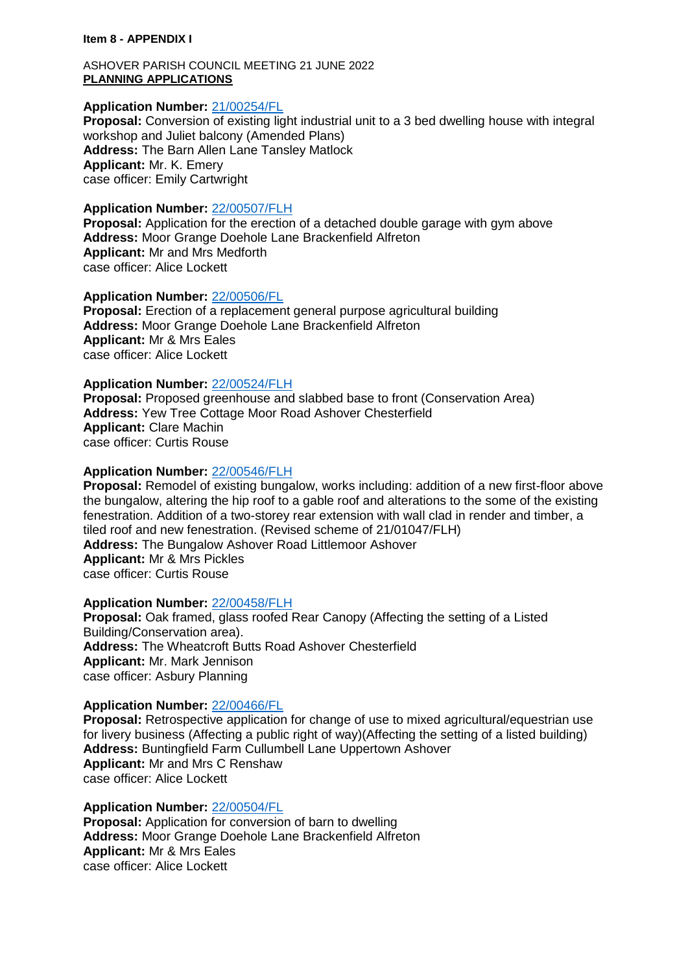#### **Item 8 - APPENDIX I**

#### ASHOVER PARISH COUNCIL MEETING 21 JUNE 2022 **PLANNING APPLICATIONS**

### **Application Number:** [21/00254/FL](https://planapps-online.ne-derbyshire.gov.uk/online-applications/applicationDetails.do?activeTab=documents&keyVal=QP8XU3LIHIP00)

**Proposal:** Conversion of existing light industrial unit to a 3 bed dwelling house with integral workshop and Juliet balcony (Amended Plans) **Address:** The Barn Allen Lane Tansley Matlock **Applicant:** Mr. K. Emery case officer: Emily Cartwright

#### **Application Number:** [22/00507/FLH](https://planapps-online.ne-derbyshire.gov.uk/online-applications/applicationDetails.do?activeTab=documents&keyVal=RBT7HVLIM8300)

**Proposal:** Application for the erection of a detached double garage with gym above **Address:** Moor Grange Doehole Lane Brackenfield Alfreton **Applicant:** Mr and Mrs Medforth case officer: Alice Lockett

#### **Application Number:** [22/00506/FL](https://planapps-online.ne-derbyshire.gov.uk/online-applications/applicationDetails.do?activeTab=documents&keyVal=RBT7HHLIM8100)

**Proposal:** Erection of a replacement general purpose agricultural building **Address:** Moor Grange Doehole Lane Brackenfield Alfreton **Applicant:** Mr & Mrs Eales case officer: Alice Lockett

# **Application Number:** [22/00524/FLH](https://planapps-online.ne-derbyshire.gov.uk/online-applications/applicationDetails.do?activeTab=documents&keyVal=RC4BHLLIMAF00)

**Proposal:** Proposed greenhouse and slabbed base to front (Conservation Area) **Address:** Yew Tree Cottage Moor Road Ashover Chesterfield **Applicant:** Clare Machin case officer: Curtis Rouse

# **Application Number:** [22/00546/FLH](https://planapps-online.ne-derbyshire.gov.uk/online-applications/applicationDetails.do?activeTab=documents&keyVal=RCFFGZLIMCR00)

**Proposal:** Remodel of existing bungalow, works including: addition of a new first-floor above the bungalow, altering the hip roof to a gable roof and alterations to the some of the existing fenestration. Addition of a two-storey rear extension with wall clad in render and timber, a tiled roof and new fenestration. (Revised scheme of 21/01047/FLH) **Address:** The Bungalow Ashover Road Littlemoor Ashover **Applicant:** Mr & Mrs Pickles case officer: Curtis Rouse

## **Application Number:** [22/00458/FLH](https://planapps-online.ne-derbyshire.gov.uk/online-applications/applicationDetails.do?activeTab=documents&keyVal=RB3ORWLI06400)

**Proposal:** Oak framed, glass roofed Rear Canopy (Affecting the setting of a Listed Building/Conservation area). **Address:** The Wheatcroft Butts Road Ashover Chesterfield **Applicant:** Mr. Mark Jennison case officer: Asbury Planning

#### **Application Number:** [22/00466/FL](https://planapps-online.ne-derbyshire.gov.uk/online-applications/applicationDetails.do?activeTab=documents&keyVal=RBB5OFLIM4C00)

**Proposal:** Retrospective application for change of use to mixed agricultural/equestrian use for livery business (Affecting a public right of way)(Affecting the setting of a listed building) **Address:** Buntingfield Farm Cullumbell Lane Uppertown Ashover **Applicant:** Mr and Mrs C Renshaw case officer: Alice Lockett

#### **Application Number:** [22/00504/FL](https://planapps-online.ne-derbyshire.gov.uk/online-applications/applicationDetails.do?activeTab=documents&keyVal=RBT7GSLIM7X00)

**Proposal:** Application for conversion of barn to dwelling **Address:** Moor Grange Doehole Lane Brackenfield Alfreton **Applicant:** Mr & Mrs Eales case officer: Alice Lockett